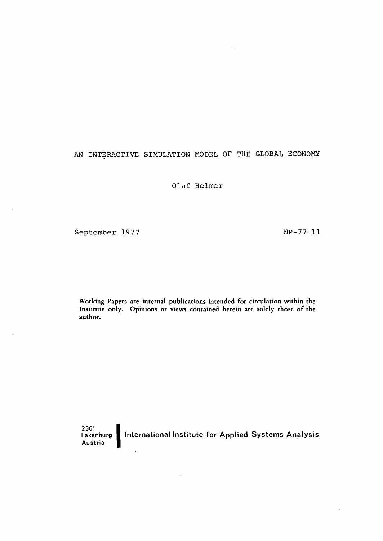# AN INTERACTIVE SIMULATION MODEL OF THE GLOBAL ECONOMY

Olaf Helmer

September 1977 and the MP-77-11

Working Papers are internal publications intended for circulation within the Institute only. Opinions or views contained herein are solely those of the author.

2361<br>Laxenburg **1** Austria International Institute for Applied Systems Analysis

 $\bar{\mathcal{A}}$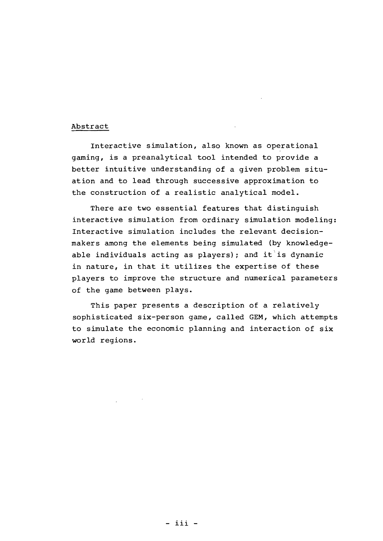# Abstract

Interactive simulation, also known as operational gaming, is <sup>a</sup> preanalytical tool intended to provide <sup>a</sup> better intuitive understanding of <sup>a</sup> given problem situation and to lead through successive approximation to the construction of <sup>a</sup> realistic analytical model.

There are two essential features that distinguish interactive simulation from ordinary simulation modeling: Interactive simulation includes the relevant decisionmakers among the elements being simulated (by knowledgeable individuals acting as players); and it is dynamic in nature, in that it utilizes the expertise of these players to improve the structure and numerical parameters of the game between plays.

This paper presents <sup>a</sup> description of <sup>a</sup> relatively sophisticated six-person game, called GEM, which attempts to simulate the economic planning and interaction of six world regions.

- iii -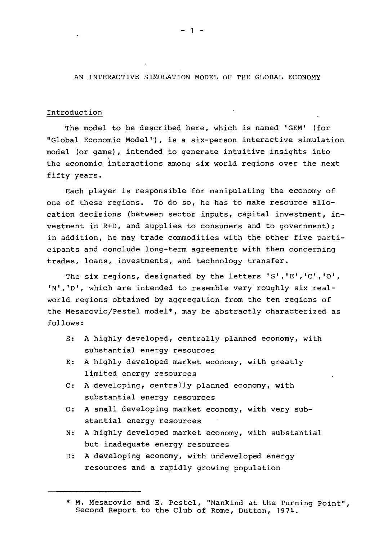AN INTERACTIVE SIMULATION MODEL OF THE GLOBAL ECONOMY

#### Introduction

The model to be described here, which is named 'GEM' (for "Global Economic Model"), is a six-person interactive simulation model (or game), intended to generate intuitive insights into the economic interactions among six world regions over the next fifty years.

Each player is responsible for manipulating the economy of one of these regions. To do so, he has to make resource allocation decisions (between sector inputs, capital investment, investment in R+D, and supplies to consumers and to government); in addition, he may trade commodities with the other five participants and conclude long-term agreements with them concerning trades, loans, investments, and technology transfer.

The six regions, designated by the letters '5' ,'E','C','O', 'N', 'D', which are intended to resemble very roughly six realworld regions obtained by aggregation from the ten regions of the Mesarovic/Pestel model\*, may be abstractly characterized as follows:

- 5: <sup>A</sup> highly developed, centrally planned economy, with substantial energy resources
- E: A highly developed market economy, with greatly limited energy resources
- C: <sup>A</sup> developing, centrally planned economy, with substantial energy resources
- 0: A small developing market economy, with very substantial energy resources
- N: A highly developed market economy, with substantial but inadequate energy resources
- D: A developing economy, with undeveloped energy resources and a rapidly growing population

- 1 -

<sup>\*</sup> M. Mesarovic and E. Pestel, "Mankind at the Turning Point", Second Report to the Club of Rome, Dutton, 1974.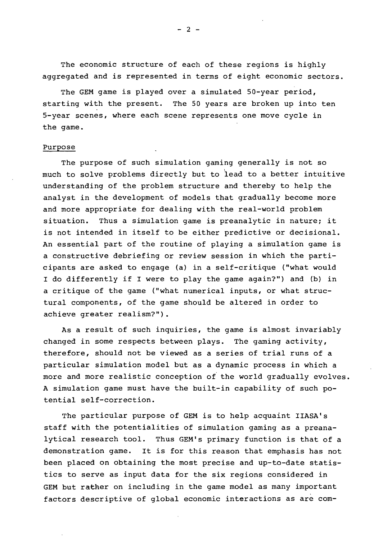The economic structure of each of these regions is highly aggregated and is represented in terms of eight economic sectors.

The GEM game is played over <sup>a</sup> simulated 50-year period, starting with the present. The 50 years are broken up into ten 5-year scenes, where each scene represents one move cycle in the game.

# Purpose

The purpose of such simulation gaming generally is not so much to solve problems directly but to lead to <sup>a</sup> better intuitive understanding of the problem structure and thereby to help the analyst in the development of models that gradually become more and more appropriate for dealing with the real-world problem situation. Thus a simulation qame is preanalytic in nature; it is not intended in itself to be either predictive or decisional. An essential part of the routine of playing <sup>a</sup> simulation game is <sup>a</sup> constructive debriefing or review session in which the participants are asked to engage (a) in <sup>a</sup> self-critique ("what would <sup>I</sup> do differently if <sup>I</sup> were to play the game again?") and (b) in <sup>a</sup> critique of the game ("what numerical inputs, or what structural components, of the game should be altered in order to achieve greater realism?") .

As <sup>a</sup> result of such inquiries, the game is almost invariably changed in some respects between plays. The gaming activity, therefore, should not be viewed as <sup>a</sup> series of trial runs of <sup>a</sup> particular simulation model but as <sup>a</sup> dynamic process in which <sup>a</sup> more and more realistic conception of the world gradually evolves. <sup>A</sup> simulation game must have the built-in capability of such potential self-correction.

The particular purpose of GEM is to help acquaint IIASA's staff with the potentialities of simulation gaming as <sup>a</sup> preanalytical research tool. Thus GEM's primary function is that of <sup>a</sup> demonstration game. It is for this reason that emphasis has not been placed on obtaining the most precise and up-to-date statistics to serve as input data for the six regions considered in GEM but rather on including in the game model as many important factors descriptive of global economic interactions as are com-

 $- 2 -$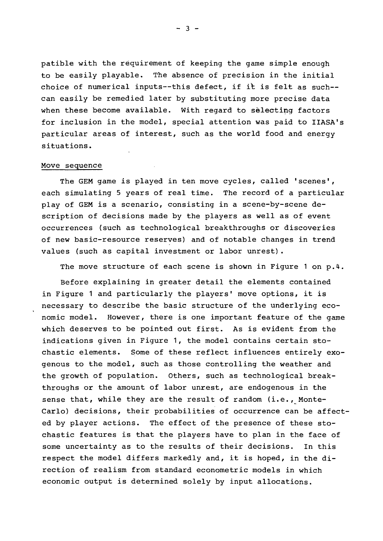patible with the requirement of keeping the game simple enough to be easily playable. The absence of precision in the initial choice of numerical inputs--this defect, if it is felt as such- can easily be remedied later by substituting more precise data when these become available. With regard to selecting factors for inclusion in the model, special attention was paid to IIASA's particular areas of interest, such as the world food and energy situations.

#### Move sequence

The GEM game is played in ten move cycles, called 'scenes', each simulating <sup>5</sup> years of real time. The record of <sup>a</sup> particular play of GEM is <sup>a</sup> scenario, consisting in <sup>a</sup> scene-by-scene description of decisions made by the players as well as of event occurrences (such as technological breakthroughs or discoveries of new basic-resource reserves) and of notable changes in trend values (such as capital investment or labor unrest).

The move structure of each scene is shown in Figure 1 on p.4.

Before explaining in greater detail the elements contained in Figure <sup>1</sup> and particularly the players' move options, it is necessary to describe the basic structure of the underlying economic model. However, there is one important feature of the game which deserves to be pointed out first. As is evident from the indications given in Figure 1, the model contains certain stochastic elements. Some of these reflect influences entirely exogenous to the model, such as those controlling the weather and the growth of population. Others, such as technological breakthroughs or the amount of labor unrest, are endogenous in the sense that, while they are the result of random (i.e., Monte-Carlo) decisions, their probabilities of occurrence can be affected by player actions. The effect of the presence of these stochastic features is that the players have to plan in the face of some uncertainty as to the results of their decisions. In this respect the model differs markedly and, it is hoped, in the direction of realism from standard econometric models in which economic output is determined solely by input allocations.

 $- 3 -$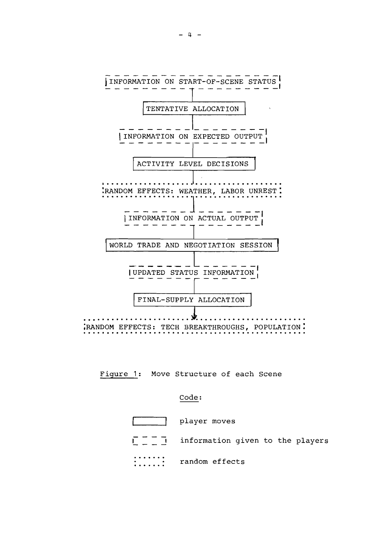

Figure 1: Move Structure of each Scene

#### Code:

| player moves                     |
|----------------------------------|
| information given to the players |
| random effects                   |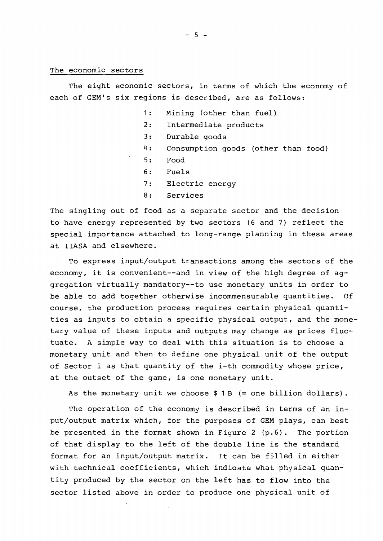#### The economic sectors

The eight economic sectors, in terms of which the economy of each of GEM's six regions is described, are as follows:

- 1: Mining (other than fuel)
- 2: Intermediate products
- 3: Durable goods
- 4: Consumption goods (other than food)
- 5: Food
- 6: Fuels
- 7: Electric energy
- 8: Services

The singling out of food as a separate sector and the decision to have energy represented by two sectors (6 and 7) reflect the special importance attached to long-range planning in these areas at IIASA and elsewhere.

To express input/output transactions among the sectors of the economy, it is convenient--and in view of the high degree of aggregation virtually mandatory--to use monetary units in order to be able to add together otherwise incommensurable quantities. Of course, the production process requires certain physical quantities as inputs to obtain <sup>a</sup> specific physical output, and the monetary value of these inputs and outputs may change as prices fluctuate. <sup>A</sup> simple way to deal with this situation is to choose <sup>a</sup> monetary unit and then to define one physical unit of the output of Sector <sup>i</sup> as that quantity of the i-th commodity whose price, at the outset of the game, is one monetary unit.

As the monetary unit we choose  $$1B$  (= one billion dollars).

The operation of the economy is described in terms of an input/output matrix which, for the purposes of GEM plays, can best be presented in the format shown in Figure 2 (p.6). The portion of that display to the left of the double line is the standard format for an input/output matrix. It can be filled in either with technical coefficients, which indicate what physical quantity produced by the sector on the left has to flow into the sector listed above in order to produce one physical unit of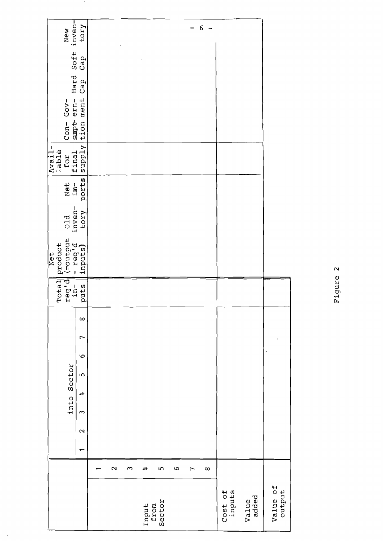|                    |                   |              |                   | into Sector             |     |   |                |          | Total<br>reg'd<br>in- | endaria<br>P. Eed.<br>P. Eed.<br>product<br>let<br> ¤ | old<br>inven- | Net<br>im- | Avail-<br>Rable<br>for<br>final | $Gov -$<br>$Con-$      |             | New New Your Road |
|--------------------|-------------------|--------------|-------------------|-------------------------|-----|---|----------------|----------|-----------------------|-------------------------------------------------------|---------------|------------|---------------------------------|------------------------|-------------|-------------------|
|                    |                   | $\mathbf{r}$ | $\mathbf{\Omega}$ | $\Rightarrow$<br>$\sim$ | LO. | G | $\overline{ }$ | $\infty$ | puts                  |                                                       | tory          | ports      | Supply                          | supt ern-<br>tion ment | Hard<br>Cap |                   |
|                    |                   |              |                   |                         |     |   |                |          |                       |                                                       |               |            |                                 |                        |             |                   |
|                    | $\mathbf{\Omega}$ |              |                   |                         |     |   |                |          |                       |                                                       |               |            |                                 |                        |             |                   |
|                    | S                 |              |                   |                         |     |   |                |          |                       |                                                       |               |            |                                 |                        |             |                   |
| Input<br>from      | ⇉                 |              |                   |                         |     |   |                |          |                       |                                                       |               |            |                                 |                        |             |                   |
| Sector             | m                 |              |                   |                         |     |   |                |          |                       |                                                       |               |            |                                 |                        |             |                   |
|                    | 9                 |              |                   |                         |     |   |                |          |                       |                                                       |               |            |                                 |                        |             |                   |
|                    | 7                 |              |                   |                         |     |   |                |          |                       |                                                       |               |            |                                 |                        |             |                   |
|                    | $\infty$          |              |                   |                         |     |   |                |          |                       |                                                       |               |            |                                 |                        |             | 6                 |
| Cost of<br>inputs  |                   |              |                   |                         |     |   |                |          |                       |                                                       |               |            |                                 |                        |             |                   |
| added<br>Value     |                   |              |                   |                         |     |   |                |          |                       |                                                       |               |            |                                 |                        |             |                   |
| Value of<br>output |                   |              |                   |                         |     |   |                |          |                       |                                                       |               |            |                                 |                        |             |                   |

 $\overline{\phantom{a}}$ 

 $\ddot{\phantom{1}}$ 

Figure 2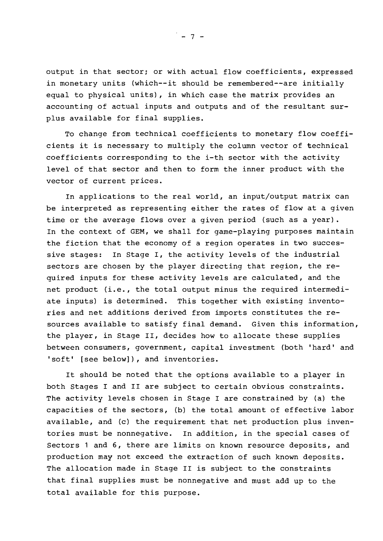output in that sector: or with actual flow coefficients, expressed in monetary units (which--it should be remembered--are initially equal to physical units), in which case the matrix provides an accounting of actual inputs and outputs and of the resultant surplus available for final supplies.

To change from technical coefficients to monetary flow coefficients it is necessary to multiply the column vector of technical coefficients corresponding to the i-th sector with the activity level of that sector and then to form the inner product with the vector of current prices.

In applications to the real world, an input/output matrix can be interpreted as representing either the rates of flow at <sup>a</sup> given time or the average flows over a given period (such as a year) . In the context of GEM, we shall for game-playing purposes maintain the fiction that the economy of <sup>a</sup> region operates in two successive stages: In stage I, the activity levels of the industrial sectors are chosen by the player directing that region, the required inputs for these activity levels are calculated, and the net product (i.e., the total output minus the required intermediate inputs) is determined. This together with existing inventories and net additions derived from imports constitutes the resources available to satisfy final demand. Given this information, the player, in Stage II, decides how to allocate these supplies between consumers, government, capital investment (both 'hard' and 'soft' [see below]), and inventories.

It should be noted that the options available to <sup>a</sup> player in both Stages I and II are subject to certain obvious constraints. The activity levels chosen in Stage <sup>I</sup> are constrained by (a) the capacities of the sectors, (b) the total amount of effective labor available, and (c) the requirement that net production plus inventories must be nonnegative. In addition, in the special cases of Sectors 1 and 6, there are limits on known resource deposits, and production may not exceed the extraction of such known deposits. The allocation made in Stage II is subject to the constraints that final supplies must be nonnegative and must add up to the total available for this purpose.

 $-7 -$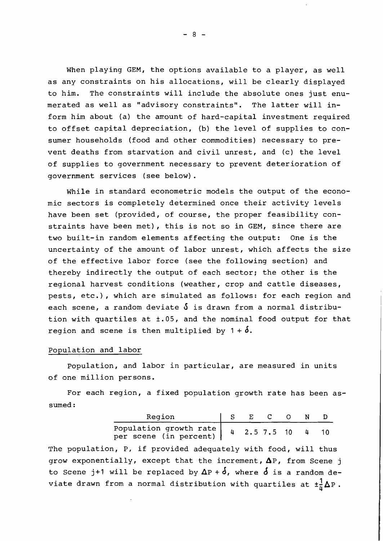When playing GEM, the options available to a player, as well as any constraints on his allocations, will be clearly displayed to him. The constraints will include the absolute ones just enumerated as well as "advisory constraints". The latter will inform him about (a) the amount of hard-capital investment required to offset capital depreciation, (b) the level of supplies to consumer households (food and other commodities) necessary to prevent deaths from starvation and civil unrest, and (c) the level of supplies to government necessary to prevent deterioration of government services (see below).

While in standard econometric models the output of the economic sectors is completely determined once their activity levels have been set (provided, of course, the proper feasibility constraints have been met), this is not so in GEM, since there are two built-in random elements affecting the output: One is the uncertainty of the amount of labor unrest, which affects the size of the effective labor force (see the following section) and thereby indirectly the output of each sector; the other is the regional harvest conditions (weather, crop and cattle diseases, pests, etc.), which are simulated as follows: for each region and each scene, a random deviate  $\delta$  is drawn from a normal distribution with quartiles at ±.OS, and the nominal food output for that region and scene is then multiplied by  $1 + \delta$ .

#### Population and labor

population, and labor in particular, are measured in units of one million persons.

For each region, <sup>a</sup> fixed population growth rate has been assumed:

| Region                                             | $\mathbf{F}$ |              |  |  |
|----------------------------------------------------|--------------|--------------|--|--|
| Population growth rate  <br>per scene (in percent) |              | $2.5$ 7.5 10 |  |  |

The population, *P,* if provided adequately with food, will thus grow exponentially, except that the increment,  $\Delta P$ , from Scene j to Scene j+1 will be replaced by  $\Delta P + \delta$ , where  $\delta$  is a random deviate drawn from a normal distribution with quartiles at  $\pm \frac{1}{\mu} \Delta P$ .

 $- 8 -$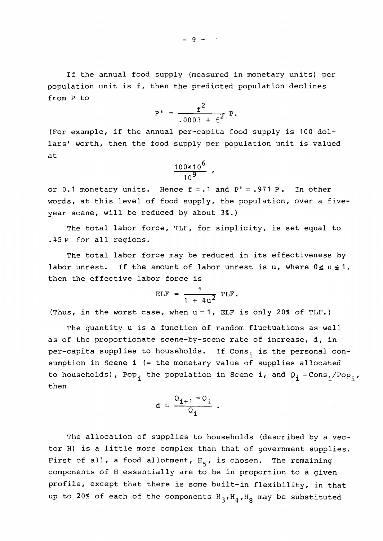If the annual food supply (measured in monetary units) per population unit is f, then the predicted population declines from P to

$$
P' = \frac{f^2}{.0003 + f^2} P.
$$

(For example, if the annual per-capita food supply is <sup>100</sup> dollars' worth, then the food supply per population unit is valued at

$$
\frac{100 \times 10^6}{10^9}
$$

or  $0.1$  monetary units. Hence  $f = .1$  and  $P' = .971$  P. In other words, at this level of food supply, the population, over <sup>a</sup> fiveyear scene, will be reduced by about 3%.)

The total labor force, TLF, for simplicity, is set equal to .45 <sup>P</sup> for all regions.

The total labor force may be reduced in its effectiveness by labor unrest. If the amount of labor unrest is u, where  $0 \le u \le 1$ , then the effective labor force is

$$
ELF = \frac{1}{1 + 4u^2} TLF.
$$

(Thus, in the worst case, when  $u = 1$ , ELF is only 20% of TLF.)

The quantity <sup>u</sup> is <sup>a</sup> function of random fluctuations as well as of the proportionate scene-by-scene rate of increase, d, in per-capita supplies to households. If Cons<sub>i</sub> is the personal consumption in Scene i (= the monetary value of supplies allocated to households), Pop<sub>i</sub> the population in Scene i, and  $Q_i = Cons_i/Pop_i$ , then

$$
d = \frac{Q_{i+1} - Q_i}{Q_i}
$$

The allocation of supplies to households (described by a vector H) is <sup>a</sup> little more complex than that of government supplies. First of all, a food allotment,  $H_5$ , is chosen. The remaining components of <sup>H</sup> essentially are to be in proportion to <sup>a</sup> given profile, except that there is some built-in flexibility, in that up to 20% of each of the components  $H_3$ ,  $H_4$ ,  $H_8$  may be substituted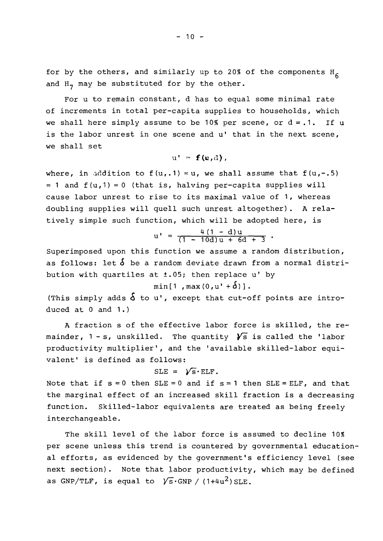for by the others, and similarly up to 20% of the components  $H_6$ and H<sub>7</sub> may be substituted for by the other.

For <sup>u</sup> to remain constant, <sup>d</sup> has to equal some minimal rate of increments in total per-capita supplies to households, which we shall here simply assume to be 10% per scene, or  $d = .1$ . If u is the labor unrest in one scene and u' that in the next scene, we shall set

$$
\mathbf{u}^{\dagger} = \mathbf{f}(\mathbf{u}, \mathbf{d}),
$$

where, in addition to  $f(u, .1) = u$ , we shall assume that  $f(u, -.5)$  $= 1$  and  $f(u, 1) = 0$  (that is, halving per-capita supplies will cause labor unrest to rise to its maximal value of 1, whereas doubling supplies will quell such unrest altogether). <sup>A</sup> relatively simple such function, which will be adopted here, is

$$
u' = \frac{4(1 - d)u}{(1 - 10d)u + 6d + 3}
$$

Superimposed upon this function we assume <sup>a</sup> random distribution, as follows: let  $\delta$  be a random deviate drawn from a normal distribution with quartiles at ±.05; then replace u' by

$$
\min[1, \max(0, u' + \delta)].
$$

(This simply adds  $\delta$  to **u'**, except that cut-off points are introduced at <sup>0</sup> and 1.)

<sup>A</sup> fraction <sup>s</sup> of the effective labor force is skilled, the remainder, 1 - s, unskilled. The quantity  $\sqrt{s}$  is called the 'labor productivity multiplier', and the 'available skilled-labor equivalent' is defined as follows:

$$
SLE = \sqrt{S} \cdot ELF.
$$

Note that if  $s = 0$  then  $SLE = 0$  and if  $s = 1$  then  $SLE = ELF$ , and that the marginal effect of an increased skill fraction is <sup>a</sup> decreasing function. Skilled-labor equivalents are treated as being freely interchangeable.

The skill level of the labor force is assumed to decline 10% per scene unless this trend is countered by governmental educational efforts, as evidenced by the government's efficiency level (see next section). Note that labor productivity, which may be defined as GNP/TLF, is equal to  $\sqrt{s}$ .GNP / (1+4u<sup>2</sup>) SLE.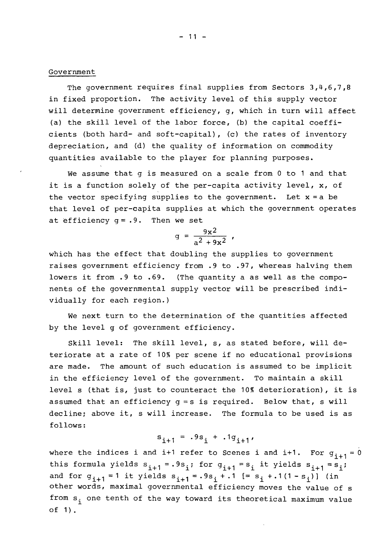#### Government

The government requires final supplies from Sectors 3,4,6,7,8 in fixed proportion. The activity level of this supply vector will determine government efficiency, g, which in turn will affect (a) the skill level of the labor force, (b) the capital coefficients (both hard- and soft-capital), (c) the rates of inventory depreciation, and (d) the quality of information on commodity quantities available to the player for planning purposes.

We assume that <sup>g</sup> is measured on <sup>a</sup> scale from <sup>0</sup> to <sup>1</sup> and that it is <sup>a</sup> function solely of the per-capita activity level, x, of the vector specifying supplies to the government. Let  $x = a$  be that level of per-capita supplies at which the government operates at efficiency  $q = .9$ . Then we set

$$
g = \frac{9x^2}{a^2 + 9x^2}
$$

which has the effect that doubling the supplies to government raises government efficiency from .9 to .97, whereas halving them lowers it from .9 to .69. (The quantity <sup>a</sup> as well as the components of the governmental supply vector will be prescribed individually for each region.)

We next turn to the determination of the quantities affected by the level g of government efficiency.

Skill level: The skill level, s, as stated before, will deteriorate at <sup>a</sup> rate of 10% per scene if no educational provisions are made. The amount of such education is assumed to be implicit in the efficiency level of the government. To maintain a skill level <sup>s</sup> (that is, just to counteract the 10% deterioration), it is assumed that an efficiency  $q = s$  is required. Below that, s will decline; above it, <sup>s</sup> will increase. The formula to be used is as follows:

$$
s_{i+1} = .9s_i + .1g_{i+1},
$$

where the indices i and i+1 refer to Scenes i and i+1. For  $g_{i+1} = 0$ this formula yields  $s_{i+1} = .9s_i$ ; for  $g_{i+1} = s_i$  it yields  $s_{i+1} = s_i$ ; follows:<br>  $S_{i+1} = .9S_i + .1g_{i+1}$ ,<br>
where the indices i and i+1 refer to Scenes i and i+1. For  $g_i$ <br>
this formula yields  $S_{i+1} = .9S_i$ ; for  $g_{i+1} = s_i$  it yields  $S_{i+1} = s$ <br>
and for  $g_{i+1} = 1$  it yields  $S_{i+1} = .9S_i + .1$  other words, maximal governmental efficiency moves the value of s from  $s_i$  one tenth of the way toward its theoretical maximum value of 1).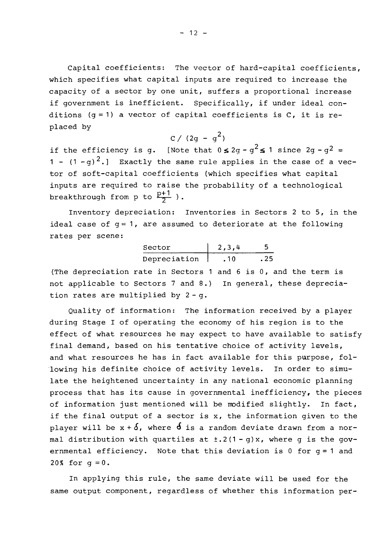Capital coefficients: The vector of hard-capital coefficients, which specifies what capital inputs are required to increase the capacity of a sector by one unit, suffers a proportional increase if government is inefficient. Specifically, if under ideal conditions  $(q = 1)$  a vector of capital coefficients is C, it is replaced by

$$
c / (2g - g^2)
$$

if the efficiency is g. [Note that  $0 \leq 2$ g - g<sup>2</sup> $\leq 1$  since 2g - g<sup>2</sup> = 1 -  $(1 - q)^2$ .] Exactly the same rule applies in the case of a vector of soft-capital coefficients (which specifies what capital inputs are required to raise the probability of <sup>a</sup> technological breakthrough from p to  $\frac{p+1}{2}$  ).

Inventory depreciation: Inventories in Sectors 2 to 5, in the ideal case of  $g = 1$ , are assumed to deteriorate at the following rates per scene:

| Sector       | 2, 3, 4 | 5    |
|--------------|---------|------|
| Depreciation | .10     | . 25 |

(The depreciation rate in Sectors <sup>1</sup> and <sup>6</sup> is 0, and the term is not applicable to Sectors 7 and 8.) In general, these depreciation rates are multiplied by  $2 - q$ .

Quality of information: The information received by a player during Stage <sup>I</sup> of operating the economy of his region is to the effect of what resources he may expect to have available to satisfy final demand, based on his tentative choice of activity levels, and what resources he has in fact available for this purpose, fol- 'lowing his definite choice of activity levels. In order to simulate the heightened uncertainty in any national economic planning process that has its cause in governmental inefficiency, the pieces of information just mentioned will be modified slightly. In fact, if the final output of <sup>a</sup> sector is x, the information given to the player will be  $x + \delta$ , where  $\delta$  is a random deviate drawn from a normal distribution with quartiles at  $\pm$ .2(1 - g)x, where g is the govmai distribution with quartiles at f.2() - g)x, where g is the gov<br>ernmental efficiency. Note that this deviation is 0 for g = 1 and 20% for  $q = 0$ .

In applying this rule, the same deviate will be used for the same output component, regardless of whether this information per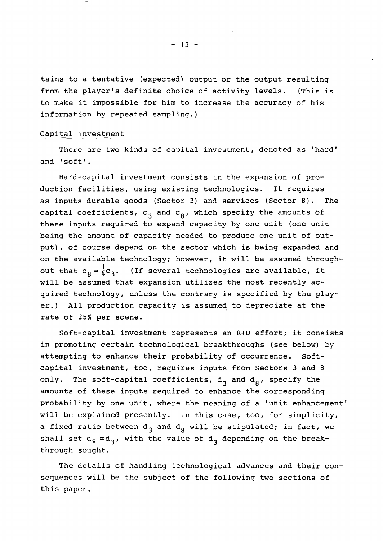tains to <sup>a</sup> tentative (expected) output or the output resulting from the player's definite choice of activity levels. (This is to make it impossible for him to increase the accuracy of his information by repeated sampling.)

#### Capital investment

There are two kinds of capital investment, denoted as 'hard' and 'soft'.

Hard-capital investment consists in the expansion of production facilities, using existing technologies. It requires as inputs durable goods (Sector 3) and services (Sector a). The capital coefficients,  $\mathsf{c}_3^{}$  and  $\mathsf{c}_8^{}$ , which specify the amounts of these inputs required to expand capacity by one unit (one unit being the amount of capacity needed to produce one unit of output), of course depend on the sector which is being expanded and on the available technology; however, it will be assumed throughout that  $c_g = \frac{1}{1}c_3$ . (If several technologies are available, it will be assumed that expansion utilizes the most recently  $ac$ quired technology, unless the contrary is specified by the player.) All production capacity is assumed to depreciate at the rate of 25% per scene.

Soft-capital investment represents an R+D effort; it consists in promoting certain technological breakthroughs (see below) by attempting to enhance their probability of occurrence. Softcapital investment, too, requires inputs from Sectors 3 and 8 only. The soft-capital coefficients,  $d_2$  and  $d_2$ , specify the amounts of these inputs required to enhance the corresponding probability by one unit, where the meaning of <sup>a</sup> 'unit enhancement' will be explained presently. In this case, too, for simplicity, a fixed ratio between  $\texttt{d}_{\texttt{3}}$  and  $\texttt{d}_{\texttt{8}}$  will be stipulated; in fact, we shall set  $d_8 = d_3$ , with the value of  $d_3$  depending on the breakthrough sought.

The details of handling technological advances and their consequences will be the subject of the following two sections of this paper.

 $- 13 -$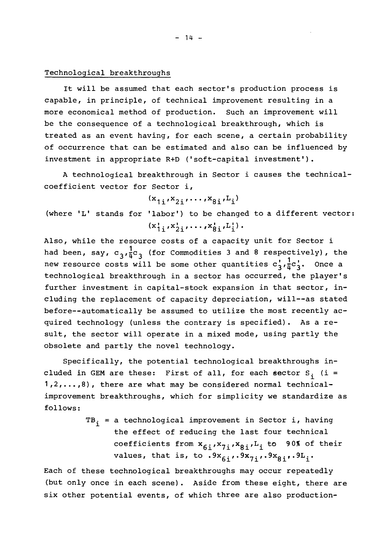#### Technological breakthroughs

It will be assumed that each sector's production process is capable, in principle, of technical improvement resulting in a more economical method of production. Such an improvement will be the consequence of <sup>a</sup> technological breakthrough, which is treated as an event having, for each scene, <sup>a</sup> certain probability of occurrence that can be estimated and also can be influenced by investment in appropriate R+D ('soft-capital investment').

A technological breakthrough in Sector i causes the technicalcoefficient vector for Sector i,

 $(x_{1}x_{2}x_{2}, \ldots, x_{8}x_{1}.$ 

(where 'L' stands for 'labor') to be changed to <sup>a</sup> different vector:  $(x'_{1i}, x'_{2i}, \ldots, x'_{8i}, L'_{i}).$ 

Also, while the resource costs of a capacity unit for Sector i had been, say,  $c_3'$ ,  $\frac{1}{4}c_3$  (for Commodities 3 and 8 respectively), the new resource costs will be some other quantities  $c_3', \frac{1}{\mu}c_3'$ . Once a technological breakthrough in a sector has occurred, the player's further investment in capital-stock expansion in that sector, including the replacement of capacity depreciation, will--as stated before--automatically be assumed to utilize the most recently acquired technology (unless the contrary is specified). As <sup>a</sup> result, the sector will operate in <sup>a</sup> mixed mode, using partly the obsolete and partly the novel technology.

Specifically, the potential technological breakthroughs included in GEM are these: First of all, for each sector  $S_i$  (i =  $1, 2, \ldots, 8$ ), there are what may be considered normal technicalimprovement breakthroughs, which for simplicity we standardize as follows:

$$
^{TB}i
$$
 = a technological improvement in Sector i, having the effect of reducing the last four technical coefficients from  $x_{6i}x_{7i}x_{8i}L_i$  to 90% of their values, that is, to  $.9x_{6i}...9x_{7i}...9x_{8i}...9L_i$ .

Each of these technological breakthroughs may occur repeatedly (but only once in each scene). Aside from these eight, there are six other potential events, of which three are also production-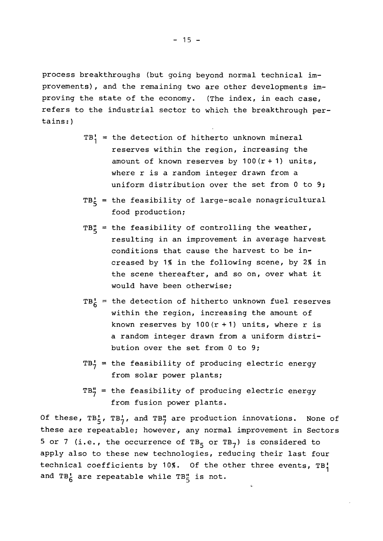process breakthroughs (but going beyond normal technical improvements), and the remaining two are other developments improving the state of the economy. (The index, in each case, refers to the industrial sector to which the breakthrough pertains:)

- $TB_1' =$  the detection of hitherto unknown mineral reserves within the region, increasing the amount of known reserves by  $100(r + 1)$  units, where r is a random integer drawn from a uniform distribution over the set from <sup>0</sup> to 9;
- $TB_{5}'$  = the feasibility of large-scale nonagricultural food production;
- $TB^{\prime\prime}_{5}$  = the feasibility of controlling the weather, resulting in an improvement in average harvest conditions that cause the harvest to be increased by 1% in the following scene, by 2% in the scene thereafter, and so on, over what it would have been otherwise;
- $TB<sub>6</sub>$  = the detection of hitherto unknown fuel reserves within the region, increasing the amount of known reserves by  $100(r + 1)$  units, where r is <sup>a</sup> random integer drawn from <sup>a</sup> uniform distribution over the set from <sup>0</sup> to 9;
- $TB_7^{\prime}$  = the feasibility of producing electric energy from solar power plants;
- $TB''_7$  = the feasibility of producing electric energy from fusion power plants.

Of these, TB $_5'$ , TB $_7'$ , and TB $_7''$  are production innovations. None of these are repeatable; however, any normal improvement in Sectors 5 or 7 (i.e., the occurrence of TB<sub>5</sub> or TB<sub>7</sub>) is considered to apply also to these new technologies, reducing their last four technical coefficients by 10%. Of the other three events,  $TB<sub>1</sub><sup>T</sup>$ and TB<sub>6</sub> are repeatable while TB<sub>5</sub> is not.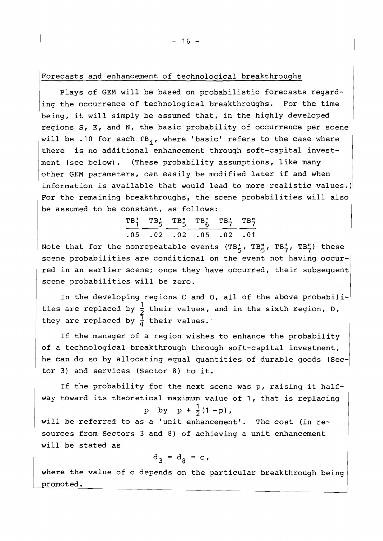Plays of GEM will be based on probabilistic forecasts regarding the occurrence of technological breakthroughs. For the time being, it will simply be assumed that, in the highly developed regions S, E, and N, the basic probability of occurrence per scene will be .10 for each TB<sub>i</sub>, where 'basic' refers to the case where there is no additional enhancement through soft-capital investment (see below). (These probability assumptions, like many other GEM parameters, can easily be modified later if and when information is available that would lead to more realistic values.) For the remaining breakthroughs, the scene probabilities will also

be assumed to be constant, as follows:  
\n
$$
\begin{array}{rrrrr}\n & T B_1' & T B_5' & T B_6' & T B_7' & T B_7'' \\
 & & 05 & .02 & .02 & .05 & .02 & .01\n\end{array}
$$

Note that for the nonrepeatable events (TB', TB', TB', TB') these scene probabilities are conditional on the event not having occurred in an earlier scene; once they have occurred, their subsequent scene probabilities will be zero.

In the developing regions <sup>C</sup> and 0, all of the above probabilities are replaced by  $\frac{1}{2}$  their values, and in the sixth region, D, they are replaced by  $\frac{1}{h}$  their values.

If the manager of <sup>a</sup> region wishes to enhance the probability of <sup>a</sup> technological breakthrough through soft-capital investment, he can do so by allocating equal quantities of durable goods (Sector 3) and services (Sector 8) to it.

If the probability for the next scene was p, raising it halfway toward its theoretical maximum value of 1, that is replacing

p by 
$$
p + \frac{1}{2}(1-p)
$$
,

will be referred to as <sup>a</sup> 'unit enhancement'. The cost (in resources from Sectors 3 and 8) of achieving a unit enhancement will be stated as

$$
d_3 = d_8 = c,
$$

where the value of c depends on the particular breakthrough being romoted.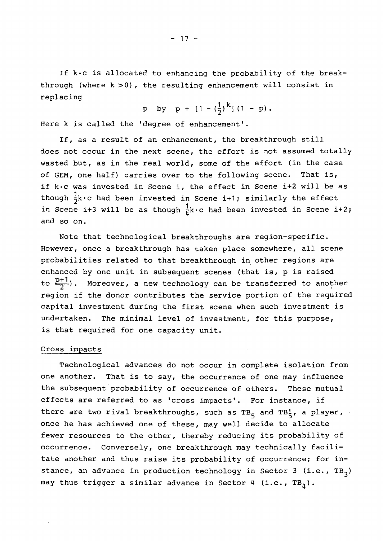If k·c is allocated to enhancing the probability of the breakthrough (where  $k > 0$ ), the resulting enhancement will consist in replacing

p by p + 
$$
[1 - (\frac{1}{2})^k]
$$
 (1 - p).

Here <sup>k</sup> is called the 'degree of enhancement'.

If, as <sup>a</sup> result of an enhancement, the breakthrough still does not occur in the next scene, the effort is not assumed totally wasted but, as in the real world, some of the effort (in the case of GEM, one half) carries over to the following scene. That is, if k·c was invested in Scene i, the effect in Scene i+2 will be as though  $\frac{1}{2}k \cdot c$  had been invested in Scene i+1; similarly the effect in Scene i+3 will be as though  $\frac{1}{\mu}k \cdot c$  had been invested in Scene i+2; and so on.

Note that technological breakthroughs are region-specific. However, once <sup>a</sup> breakthrough has taken place somewhere, all scene probabilities related to that breakthrough in other regions are enhanced by one unit in subsequent scenes (that is, <sup>p</sup> is raised to  $\frac{p+1}{2}$ . Moreover, a new technology can be transferred to another region if the donor contributes the service portion of the required capital investment during the first scene when such investment is undertaken. The minimal level of investment, for this purpose, is that required for one capacity unit.

# Cross impacts

Technological advances do not occur in complete isolation from one another. That is to say, the occurrence of one may influence the subsequent probability of occurrence of others. These mutual effects are referred to as 'cross impacts'. For instance, if there are two rival breakthroughs, such as TB<sub>5</sub> and TB<sub>5</sub>, a player, once he has achieved one of these, may well decide to allocate fewer resources to the other, thereby reducing its probability of occurrence. Conversely, one breakthrough may technically facilitate another and thus raise its probability of occurrence; for instance, an advance in production technology in Sector 3 (i.e.,  $TB<sub>3</sub>$ ) may thus trigger a similar advance in Sector 4 (i.e.,  $TB_n$ ).

 $- 17 -$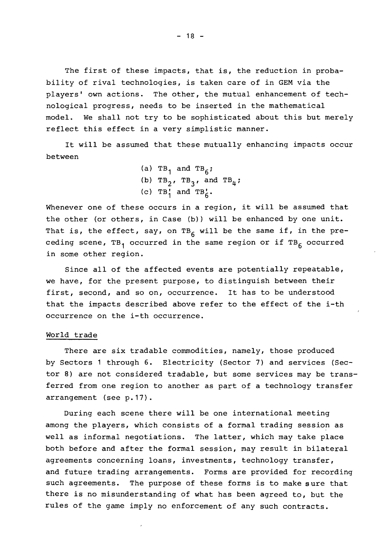The first of these impacts, that is, the reduction in probability of rival technologies, is taken care of in GEM via the players' own actions. The other, the mutual enhancement of technological progress, needs to be inserted in the mathematical model. We shall not try to be sophisticated about this but merely reflect this effect in <sup>a</sup> very simplistic manner.

It will be assumed that these mutually enhancing impacts occur between

> (a)  $TB_1$  and  $TB_6$ ; (b)  $TB_2$ ,  $TB_3$ , and  $TB_4$ ; (c)  $TB_1^r$  and  $TB_6^r$ .

Whenever one of these occurs in <sup>a</sup> region, it will be assumed that the other (or others, in Case (b)) will be enhanced by one unit. That is, the effect, say, on TB<sub>6</sub> will be the same if, in the preceding scene, TB<sub>1</sub> occurred in the same region or if TB<sub>6</sub> occurred in some other region.

Since all of the affected events are potentially repeatable, we have, for the present purpose, to distinguish between their first, second, and so on, occurrence. It has to be understood that the impacts described above refer to the effect of the i-th occurrence on the i-th occurrence.

#### World trade

There are six tradable commodities, namely, those produced by Sectors <sup>1</sup> through 6. Electricity (Sector 7) and services (Sector 8) are not considered tradable, but some services may be transferred from one region to another as part of a technology transfer arrangement (see p.17).

During each scene there will be one international meeting among the players, which consists of a formal trading session as well as informal negotiations. The latter, which may take place both before and after the formal session, may result in bilateral agreements concerning loans, investments, technology transfer, and future trading arrangements. Forms are provided for recording such agreements. The purpose of these forms is to make sure that there is no misunderstanding of what has been agreed to, but the rules of the game imply no enforcement of any such contracts.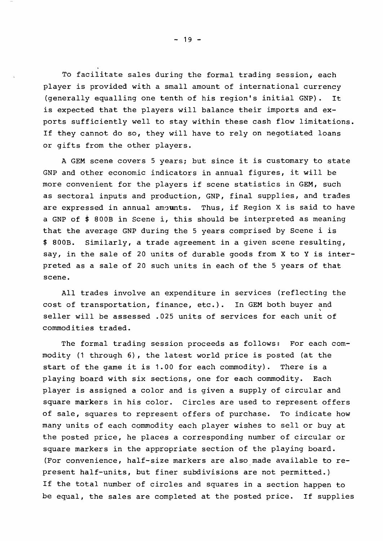To facilitate sales during the formal trading session, each player is provided with <sup>a</sup> small amount of international currency (generally equalling one tenth of his region's initial GNP). It is expected that the players will balance their imports and exports sufficiently well to stay within these cash flow limitations. If they cannot do so, they will have to rely on negotiated loans or gifts from the other players.

<sup>A</sup> GEM scene covers <sup>5</sup> years; but since it is customary to state GNP and other economic indicators in annual figures, it will be more convenient for the players if scene statistics in GEM, such as sectoral inputs and production, GNP, final supplies, and trades are expressed in annual amounts. Thus, if Region X is said to have <sup>a</sup> GNP of \$ 800B in Scene i, this should be interpreted as meaning that the average GNP during the <sup>5</sup> years comprised by Scene <sup>i</sup> is \$ 800B. Similarly, <sup>a</sup> trade agreement in <sup>a</sup> given scene resulting, say, in the sale of <sup>20</sup> units of durable goods from <sup>X</sup> to <sup>Y</sup> is interpreted as <sup>a</sup> sale of <sup>20</sup> such units in each of the <sup>5</sup> years of that scene.

All trades involve an expenditure in services (reflecting the cost of transportation, finance, etc.). In GEM both buyer and seller will be assessed .025 units of services for each unit of commodities traded.

The formal trading session proceeds as follows: For each commodity (1 through 6), the latest world price is posted (at the start of the game it is 1.00 for each commodity). There is <sup>a</sup> playing board with six sections, one for each commodity. Each player is assigned <sup>a</sup> color and is given <sup>a</sup> supply of circular and square markers in his color. Circles are used to represent offers of sale, squares to represent offers of purchase. To indicate how many units of each commodity each player wishes to sell or buy at the posted price, he places <sup>a</sup> corresponding number of circular or square markers in the appropriate section of the playing board. (For convenience, half-size markers are also made available to represent half-units, but finer subdivisions are not permitted.) If the total number of circles and squares in <sup>a</sup> section happen to be equal, the sales are completed at the posted price. If supplies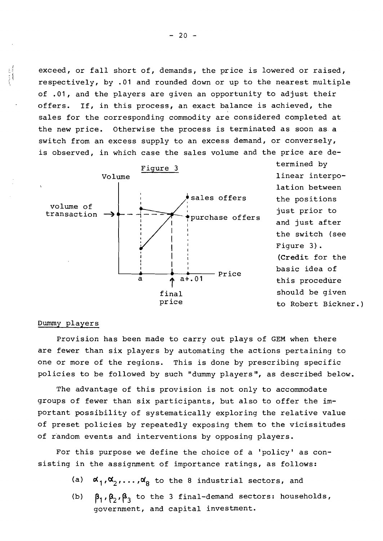exceed, or fall short of, demands, the price is lowered or raised, respectively, by .01 and rounded down or up to the nearest multiple of .01, and the players are given an opportunity to adjust their offers. If, in this process, an exact balance is achieved, the sales for the corresponding commodity are considered completed at the new price. Otherwise the process is terminated as soon as <sup>a</sup> switch from an excess supply to an excess demand, or conversely, is observed, in which case the sales volume and the price are de-



termined by linear interpolation between the positions just prior to and just after the switch (see Figure 3). (Credit for the basic idea of this procedure should be given to Robert Bickner.)

# Dummy players

Provision has been made to carry out plays of GEM when there are fewer than six players by automating the actions pertaining to one or more of the regions. This is done by prescribing specific policies to be followed by such "dummy players", as described below.

The advantage of this provision is not only to accommodate groups of fewer than six participants, but also to offer the important possibility of systematically exploring the relative value of preset policies by repeatedly exposing them to the vicissitudes of random events and interventions by opposing players.

For this purpose we define the choice of <sup>a</sup> 'policy' as consisting in the assignment of importance ratings, as follows:

- (a)  $\alpha_1', \alpha_2', \ldots, \alpha_8'$  to the 8 industrial sectors, and
- (b)  $\beta_1$ ,  $\beta_2$ ,  $\beta_3$  to the 3 final-demand sectors: households, government, and capital investment.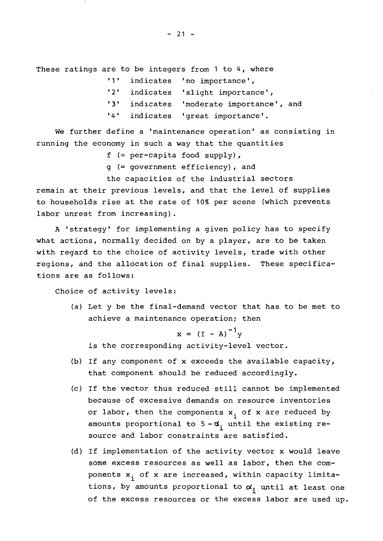These ratings are to be integers from 1 to 4, where

| 111               |           | indicates 'no importance',     |
|-------------------|-----------|--------------------------------|
| 121               |           | indicates 'slight importance', |
| 131               | indicates | 'moderate importance', and     |
| $\cdot$ 4 $\cdot$ |           | indicates 'great importance'.  |

We further define a 'maintenance operation' as consisting in running the economy in such a way that the quantities

f  $(= per-capita food supply)$ ,

g (= government efficiency), and

the capacities of the industrial sectors

remain at their previous levels, and that the level of supplies to households rise at the rate of 10% per scene (which prevents labor unrest from increasing).

<sup>A</sup> 'strategy' for implementing <sup>a</sup> given policy has to specify what actions, normally decided on by a player, are to be taken with regard to the choice of activity levels, trade with other regions, and the allocation of final supplies. These specifications are as follows:

Choice of activity levels:

(a) Let <sup>y</sup> be the final-demand vector that has to be met to achieve a maintenance operation; then

 $x = (I - A)^{-1}y$ 

is the corresponding activity-level vector.

- (b) If any component of <sup>x</sup> exceeds the available capacity, that component should be reduced accordingly.
- (c) If the vector thus reduced still cannot be implemented because of excessive demands on resource inventories or labor, then the components  $x_i$  of x are reduced by amounts proportional to  $5 - \alpha_i$  until the existing resource and labor constraints are satisfied.
- (d) If implementation of the activity vector <sup>x</sup> would leave some excess resources as well as labor, then the components  $\mathbf{x_i}$  of  $\mathbf{x}$  are increased, within capacity limitations, by amounts proportional to  $\alpha_{1}$  until at least one of the excess resources or the excess labor are used up.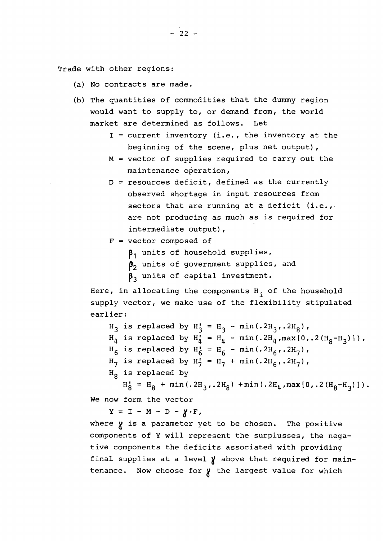- (a) No contracts are made.
- (b) The quantities of commodities that the dummy region would want to supply to, or demand from, the world market are determined as follows. Let
	- $I =$  current inventory (i.e., the inventory at the beginning of the scene, plus net output) ,
	- $M =$  vector of supplies required to carry out the maintenance operation,
	- <sup>D</sup> = resources deficit, defined as the currently observed shortage in input resources from sectors that are running at a deficit (i.e., are not producing as much as is required for intermediate output),

 $F = vector$  composed of

**P1** units of household supplies,

- $\beta_2$  units of government supplies, and
- $\beta_3$  units of capital investment.

Here, in allocating the components  $H_{\textbf{ i}}$  of the household supply vector, we make use of the flexibility stipulated earlier:

 $H_3$  is replaced by  $H'_3 = H_3 - min(.2H_3, .2H_8)$ ,  $H_{\mu}$  is replaced by  $H_{\mu} = H_{\mu} - min(.2H_{\mu}, max[0,.2(H_{g}-H_{3})])$ ,  $H_6$  is replaced by  $H_6' = H_6 - min(.2H_6, .2H_7)$ ,  $H_7$  is replaced by  $H_7' = H_7 + min(.2H_6, .2H_7)$ ,  $H<sub>g</sub>$  is replaced by  $H'_8 = H_8 + min(.2H_3, .2H_8) + min(.2H_4, max[0, .2(H_8-H_3)]).$ 

We now form the vector

 $Y = I - M - D - \chi \cdot F$ ,

where  $\gamma$  is a parameter yet to be chosen. The positive components of Y will represent the surplusses, the negative components the deficits associated with providing final supplies at a level  $\chi$  above that required for maintenance. Now choose for  $\chi$  the largest value for which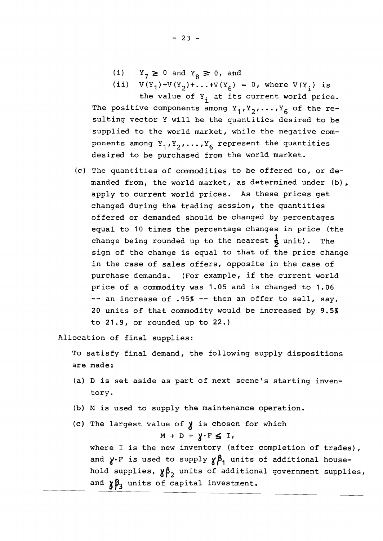- (i)  $Y_7 \ge 0$  and  $Y_8 \ge 0$ , and
- (ii)  $V(Y_1) + V(Y_2) + ... + V(Y_6) = 0$ , where  $V(Y_1)$  is

the value of  $Y_i$  at its current world price. The positive components among  $Y_1, Y_2, \ldots, Y_6$  of the resulting vector Y will be the quantities desired to be supplied to the world market, while the negative components among  $Y_1, Y_2, \ldots, Y_6$  represent the quantities desired to be purchased from the world market.

(c) The quantities of commodities to be offered to, or demanded from, the world market, as determined under (b), apply to current world prices. As these prices get changed during the trading session, the quantities offered or demanded should be changed by percentages equal to 10 times the percentage changes in price (the change being rounded up to the nearest  $\frac{1}{2}$  unit). The sign of the change is equal to that of the price change in the case of sales offers, opposite in the case of purchase demands. (For example, if the current world price of <sup>a</sup> commodity was 1.05 and is changed to 1.06 -- an increase of .95% -- then an offer to sell, say, 20 units of that commodity would be increased by 9.5% to 21.9, or rounded up to 22.)

Allocation of final supplies:

To satisfy final demand, the following supply dispositions are made:

- (a) <sup>D</sup> is set aside as part of next scene's starting inventory.
- (b) <sup>M</sup> is used to supply the maintenance operation.
- (c) The largest value of  $\chi$  is chosen for which

 $M + D + \gamma \cdot F \leq I$ ,

where <sup>I</sup> is the new inventory (after completion of trades) , and  $\gamma$ . F is used to supply  $\gamma \beta_1$  units of additional household supplies,  $\gamma \beta_2$  units of additional government supplies, and  $\gamma\beta_3$  units of capital investment.